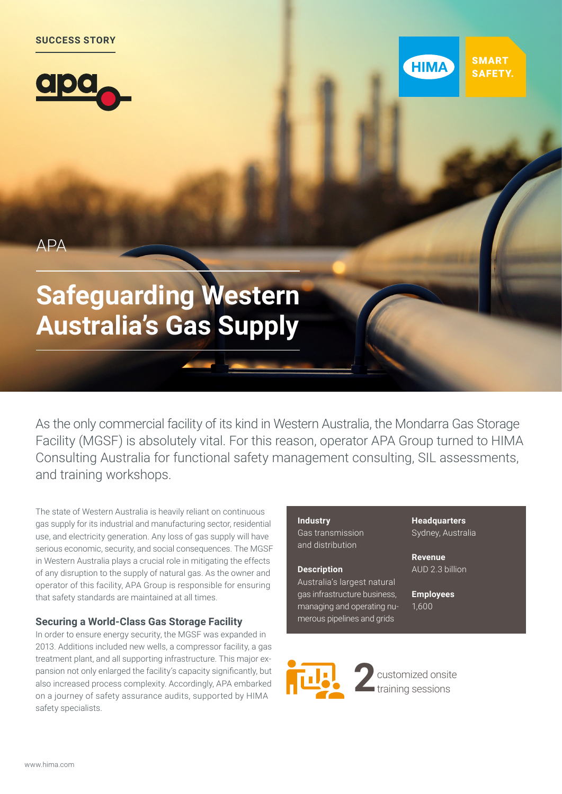





 $\triangle$ P $\triangle$ 

# **Safeguarding Western Australia's Gas Supply**

As the only commercial facility of its kind in Western Australia, the Mondarra Gas Storage Facility (MGSF) is absolutely vital. For this reason, operator APA Group turned to HIMA Consulting Australia for functional safety management consulting, SIL assessments, and training workshops.

The state of Western Australia is heavily reliant on continuous gas supply for its industrial and manufacturing sector, residential use, and electricity generation. Any loss of gas supply will have serious economic, security, and social consequences. The MGSF in Western Australia plays a crucial role in mitigating the effects of any disruption to the supply of natural gas. As the owner and operator of this facility, APA Group is responsible for ensuring that safety standards are maintained at all times.

## **Securing a World-Class Gas Storage Facility**

In order to ensure energy security, the MGSF was expanded in 2013. Additions included new wells, a compressor facility, a gas treatment plant, and all supporting infrastructure. This major expansion not only enlarged the facility's capacity significantly, but also increased process complexity. Accordingly, APA embarked on a journey of safety assurance audits, supported by HIMA safety specialists.

### **Industry** Gas transmission and distribution

#### **Description**

Australia's largest natural gas infrastructure business, managing and operating numerous pipelines and grids

**Headquarters** Sydney, Australia

**Revenue** AUD 2.3 billion

**Employees** 1,600



**2**customized onsite training sessions